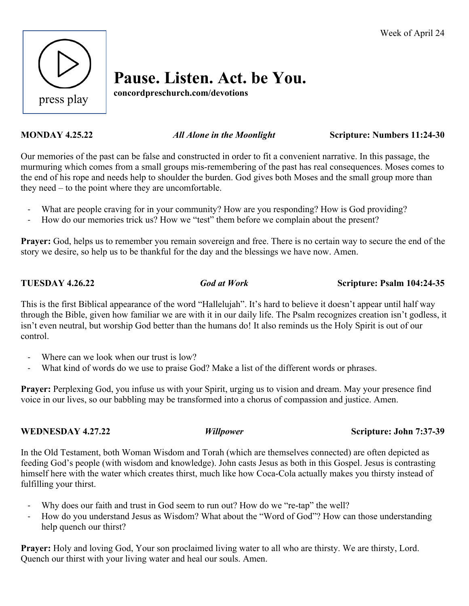

# **Pause. Listen. Act. be You.**

**concordpreschurch.com/devotions**

**MONDAY 4.25.22** *All Alone in the Moonlight* **Scripture: Numbers 11:24-30**

Our memories of the past can be false and constructed in order to fit a convenient narrative. In this passage, the murmuring which comes from a small groups mis-remembering of the past has real consequences. Moses comes to the end of his rope and needs help to shoulder the burden. God gives both Moses and the small group more than they need – to the point where they are uncomfortable.

- What are people craving for in your community? How are you responding? How is God providing?
- How do our memories trick us? How we "test" them before we complain about the present?

**Prayer:** God, helps us to remember you remain sovereign and free. There is no certain way to secure the end of the story we desire, so help us to be thankful for the day and the blessings we have now. Amen.

This is the first Biblical appearance of the word "Hallelujah". It's hard to believe it doesn't appear until half way through the Bible, given how familiar we are with it in our daily life. The Psalm recognizes creation isn't godless, it isn't even neutral, but worship God better than the humans do! It also reminds us the Holy Spirit is out of our control.

- Where can we look when our trust is low?
- What kind of words do we use to praise God? Make a list of the different words or phrases.

**Prayer:** Perplexing God, you infuse us with your Spirit, urging us to vision and dream. May your presence find voice in our lives, so our babbling may be transformed into a chorus of compassion and justice. Amen.

In the Old Testament, both Woman Wisdom and Torah (which are themselves connected) are often depicted as feeding God's people (with wisdom and knowledge). John casts Jesus as both in this Gospel. Jesus is contrasting himself here with the water which creates thirst, much like how Coca-Cola actually makes you thirsty instead of fulfilling your thirst.

- Why does our faith and trust in God seem to run out? How do we "re-tap" the well?
- How do you understand Jesus as Wisdom? What about the "Word of God"? How can those understanding help quench our thirst?

**Prayer:** Holy and loving God, Your son proclaimed living water to all who are thirsty. We are thirsty, Lord. Quench our thirst with your living water and heal our souls. Amen.

## **WEDNESDAY 4.27.22** *Willpower* **Scripture: John 7:37-39**

**TUESDAY 4.26.22** *God at Work* **Scripture: Psalm 104:24-35**